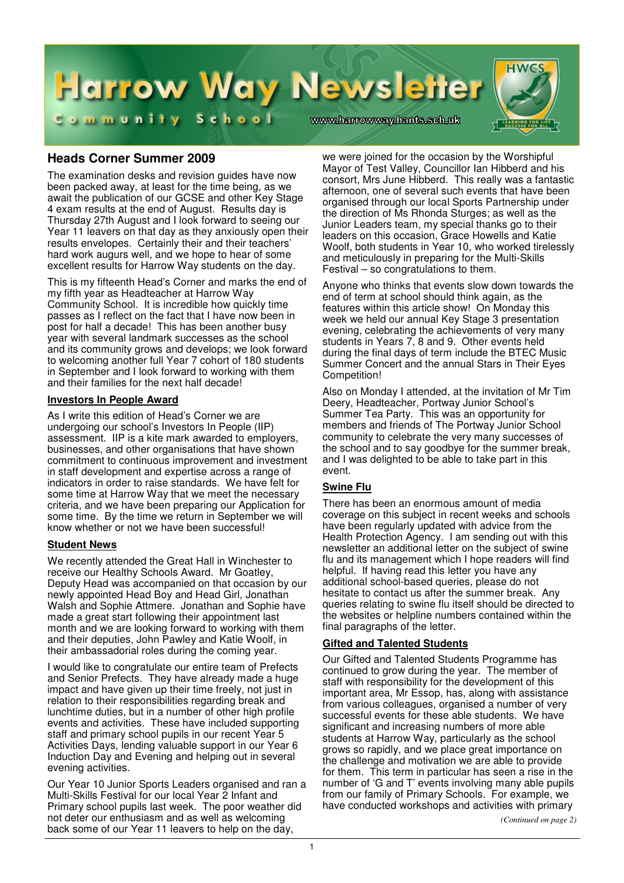

# **Heads Corner Summer 2009**

The examination desks and revision guides have now been packed away, at least for the time being, as we await the publication of our GCSE and other Key Stage 4 exam results at the end of August. Results day is Thursday 27th August and I look forward to seeing our Year 11 leavers on that day as they anxiously open their results envelopes. Certainly their and their teachers' hard work augurs well, and we hope to hear of some excellent results for Harrow Way students on the day.

This is my fifteenth Head's Corner and marks the end of my fifth year as Headteacher at Harrow Way Community School. It is incredible how quickly time passes as I reflect on the fact that I have now been in post for half a decade! This has been another busy year with several landmark successes as the school and its community grows and develops; we look forward to welcoming another full Year 7 cohort of 180 students in September and I look forward to working with them and their families for the next half decade!

### **Investors In People Award**

As I write this edition of Head's Corner we are undergoing our school's Investors In People (IIP) assessment. IIP is a kite mark awarded to employers, businesses, and other organisations that have shown commitment to continuous improvement and investment in staff development and expertise across a range of indicators in order to raise standards. We have felt for some time at Harrow Way that we meet the necessary criteria, and we have been preparing our Application for some time. By the time we return in September we will know whether or not we have been successful!

### **Student News**

We recently attended the Great Hall in Winchester to receive our Healthy Schools Award. Mr Goatley, Deputy Head was accompanied on that occasion by our newly appointed Head Boy and Head Girl, Jonathan Walsh and Sophie Attmere. Jonathan and Sophie have made a great start following their appointment last month and we are looking forward to working with them and their deputies, John Pawley and Katie Woolf, in their ambassadorial roles during the coming year.

I would like to congratulate our entire team of Prefects and Senior Prefects. They have already made a huge impact and have given up their time freely, not just in relation to their responsibilities regarding break and lunchtime duties, but in a number of other high profile events and activities. These have included supporting staff and primary school pupils in our recent Year 5 Activities Days, lending valuable support in our Year 6 Induction Day and Evening and helping out in several evening activities.

Our Year 10 Junior Sports Leaders organised and ran a Multi-Skills Festival for our local Year 2 Infant and Primary school pupils last week. The poor weather did not deter our enthusiasm and as well as welcoming back some of our Year 11 leavers to help on the day,

we were joined for the occasion by the Worshipful Mayor of Test Valley, Councillor Ian Hibberd and his consort, Mrs June Hibberd. This really was a fantastic afternoon, one of several such events that have been organised through our local Sports Partnership under the direction of Ms Rhonda Sturges; as well as the Junior Leaders team, my special thanks go to their leaders on this occasion, Grace Howells and Katie Woolf, both students in Year 10, who worked tirelessly and meticulously in preparing for the Multi-Skills Festival – so congratulations to them.

Anyone who thinks that events slow down towards the end of term at school should think again, as the features within this article show! On Monday this week we held our annual Key Stage 3 presentation evening, celebrating the achievements of very many students in Years 7, 8 and 9. Other events held during the final days of term include the BTEC Music Summer Concert and the annual Stars in Their Eyes Competition!

Also on Monday I attended, at the invitation of Mr Tim Deery, Headteacher, Portway Junior School's Summer Tea Party. This was an opportunity for members and friends of The Portway Junior School community to celebrate the very many successes of the school and to say goodbye for the summer break, and I was delighted to be able to take part in this event.

# **Swine Flu**

There has been an enormous amount of media coverage on this subject in recent weeks and schools have been regularly updated with advice from the Health Protection Agency. I am sending out with this newsletter an additional letter on the subject of swine flu and its management which I hope readers will find helpful. If having read this letter you have any additional school-based queries, please do not hesitate to contact us after the summer break. Any queries relating to swine flu itself should be directed to the websites or helpline numbers contained within the final paragraphs of the letter.

# **Gifted and Talented Students**

Our Gifted and Talented Students Programme has continued to grow during the year. The member of staff with responsibility for the development of this important area, Mr Essop, has, along with assistance from various colleagues, organised a number of very successful events for these able students. We have significant and increasing numbers of more able students at Harrow Way, particularly as the school grows so rapidly, and we place great importance on the challenge and motivation we are able to provide for them. This term in particular has seen a rise in the number of 'G and T' events involving many able pupils from our family of Primary Schools. For example, we have conducted workshops and activities with primary

*(Continued on page 2)*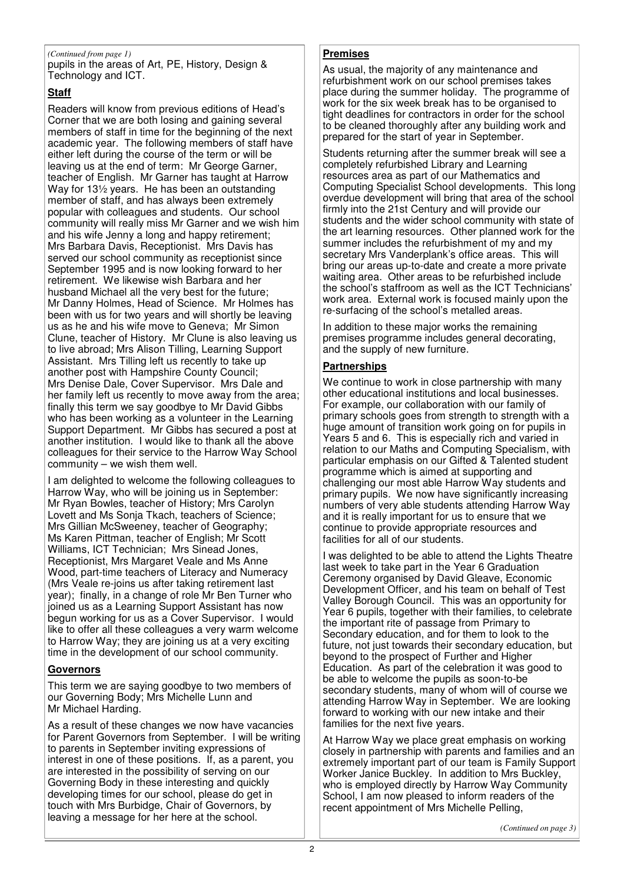### *(Continued from page 1)* **Premises**

pupils in the areas of Art, PE, History, Design & Technology and ICT.

# **Staff**

Readers will know from previous editions of Head's Corner that we are both losing and gaining several members of staff in time for the beginning of the next academic year. The following members of staff have either left during the course of the term or will be leaving us at the end of term: Mr George Garner, teacher of English. Mr Garner has taught at Harrow Way for 13½ years. He has been an outstanding member of staff, and has always been extremely popular with colleagues and students. Our school community will really miss Mr Garner and we wish him and his wife Jenny a long and happy retirement; Mrs Barbara Davis, Receptionist. Mrs Davis has served our school community as receptionist since September 1995 and is now looking forward to her retirement. We likewise wish Barbara and her husband Michael all the very best for the future; Mr Danny Holmes, Head of Science. Mr Holmes has been with us for two years and will shortly be leaving us as he and his wife move to Geneva; Mr Simon Clune, teacher of History. Mr Clune is also leaving us to live abroad; Mrs Alison Tilling, Learning Support Assistant. Mrs Tilling left us recently to take up another post with Hampshire County Council; Mrs Denise Dale, Cover Supervisor. Mrs Dale and her family left us recently to move away from the area; finally this term we say goodbye to Mr David Gibbs who has been working as a volunteer in the Learning Support Department. Mr Gibbs has secured a post at another institution. I would like to thank all the above colleagues for their service to the Harrow Way School community – we wish them well.

I am delighted to welcome the following colleagues to Harrow Way, who will be joining us in September: Mr Ryan Bowles, teacher of History; Mrs Carolyn Lovett and Ms Sonja Tkach, teachers of Science; Mrs Gillian McSweeney, teacher of Geography; Ms Karen Pittman, teacher of English; Mr Scott Williams, ICT Technician; Mrs Sinead Jones, Receptionist, Mrs Margaret Veale and Ms Anne Wood, part-time teachers of Literacy and Numeracy (Mrs Veale re-joins us after taking retirement last year); finally, in a change of role Mr Ben Turner who joined us as a Learning Support Assistant has now begun working for us as a Cover Supervisor. I would like to offer all these colleagues a very warm welcome to Harrow Way; they are joining us at a very exciting time in the development of our school community.

# **Governors**

This term we are saying goodbye to two members of our Governing Body; Mrs Michelle Lunn and Mr Michael Harding.

As a result of these changes we now have vacancies for Parent Governors from September. I will be writing to parents in September inviting expressions of interest in one of these positions. If, as a parent, you are interested in the possibility of serving on our Governing Body in these interesting and quickly developing times for our school, please do get in touch with Mrs Burbidge, Chair of Governors, by leaving a message for her here at the school.

As usual, the majority of any maintenance and refurbishment work on our school premises takes place during the summer holiday. The programme of work for the six week break has to be organised to tight deadlines for contractors in order for the school to be cleaned thoroughly after any building work and prepared for the start of year in September.

Students returning after the summer break will see a completely refurbished Library and Learning resources area as part of our Mathematics and Computing Specialist School developments. This long overdue development will bring that area of the school firmly into the 21st Century and will provide our students and the wider school community with state of the art learning resources. Other planned work for the summer includes the refurbishment of my and my secretary Mrs Vanderplank's office areas. This will bring our areas up-to-date and create a more private waiting area. Other areas to be refurbished include the school's staffroom as well as the ICT Technicians' work area. External work is focused mainly upon the re-surfacing of the school's metalled areas.

In addition to these major works the remaining premises programme includes general decorating, and the supply of new furniture.

# **Partnerships**

We continue to work in close partnership with many other educational institutions and local businesses. For example, our collaboration with our family of primary schools goes from strength to strength with a huge amount of transition work going on for pupils in Years 5 and 6. This is especially rich and varied in relation to our Maths and Computing Specialism, with particular emphasis on our Gifted & Talented student programme which is aimed at supporting and challenging our most able Harrow Way students and primary pupils. We now have significantly increasing numbers of very able students attending Harrow Way and it is really important for us to ensure that we continue to provide appropriate resources and facilities for all of our students.

I was delighted to be able to attend the Lights Theatre last week to take part in the Year 6 Graduation Ceremony organised by David Gleave, Economic Development Officer, and his team on behalf of Test Valley Borough Council. This was an opportunity for Year 6 pupils, together with their families, to celebrate the important rite of passage from Primary to Secondary education, and for them to look to the future, not just towards their secondary education, but beyond to the prospect of Further and Higher Education. As part of the celebration it was good to be able to welcome the pupils as soon-to-be secondary students, many of whom will of course we attending Harrow Way in September. We are looking forward to working with our new intake and their families for the next five years.

At Harrow Way we place great emphasis on working closely in partnership with parents and families and an extremely important part of our team is Family Support Worker Janice Buckley. In addition to Mrs Buckley, who is employed directly by Harrow Way Community School, I am now pleased to inform readers of the recent appointment of Mrs Michelle Pelling,

*(Continued on page 3)*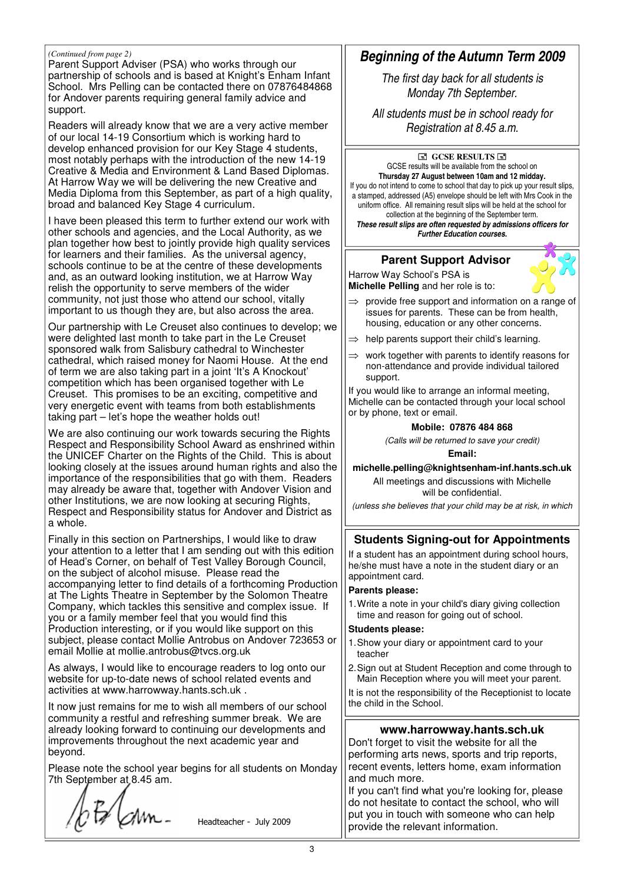#### *(Continued from page 2)*

Parent Support Adviser (PSA) who works through our partnership of schools and is based at Knight's Enham Infant School. Mrs Pelling can be contacted there on 07876484868 for Andover parents requiring general family advice and support.

Readers will already know that we are a very active member of our local 14-19 Consortium which is working hard to develop enhanced provision for our Key Stage 4 students, most notably perhaps with the introduction of the new 14-19 Creative & Media and Environment & Land Based Diplomas. At Harrow Way we will be delivering the new Creative and Media Diploma from this September, as part of a high quality, broad and balanced Key Stage 4 curriculum.

I have been pleased this term to further extend our work with other schools and agencies, and the Local Authority, as we plan together how best to jointly provide high quality services for learners and their families. As the universal agency, schools continue to be at the centre of these developments and, as an outward looking institution, we at Harrow Way relish the opportunity to serve members of the wider community, not just those who attend our school, vitally important to us though they are, but also across the area.

Our partnership with Le Creuset also continues to develop; we were delighted last month to take part in the Le Creuset sponsored walk from Salisbury cathedral to Winchester cathedral, which raised money for Naomi House. At the end of term we are also taking part in a joint 'It's A Knockout' competition which has been organised together with Le Creuset. This promises to be an exciting, competitive and very energetic event with teams from both establishments taking part – let's hope the weather holds out!

We are also continuing our work towards securing the Rights Respect and Responsibility School Award as enshrined within the UNICEF Charter on the Rights of the Child. This is about looking closely at the issues around human rights and also the importance of the responsibilities that go with them. Readers may already be aware that, together with Andover Vision and other Institutions, we are now looking at securing Rights, Respect and Responsibility status for Andover and District as a whole.

Finally in this section on Partnerships, I would like to draw your attention to a letter that I am sending out with this edition of Head's Corner, on behalf of Test Valley Borough Council, on the subject of alcohol misuse. Please read the accompanying letter to find details of a forthcoming Production at The Lights Theatre in September by the Solomon Theatre Company, which tackles this sensitive and complex issue. If you or a family member feel that you would find this Production interesting, or if you would like support on this subject, please contact Mollie Antrobus on Andover 723653 or email Mollie at mollie.antrobus@tvcs.org.uk

As always, I would like to encourage readers to log onto our website for up-to-date news of school related events and activities at www.harrowway.hants.sch.uk .

It now just remains for me to wish all members of our school community a restful and refreshing summer break. We are already looking forward to continuing our developments and improvements throughout the next academic year and beyond.

Please note the school year begins for all students on Monday 7th September at 8.45 am.

 $bF/m$ .

Headteacher - July 2009

# *Beginning of the Autumn Term 2009*

*The first day back for all students is Monday 7th September.*

*All students must be in school ready for Registration at 8.45 a.m.*

#### **GCSE RESULTS** GCSE results will be available from the school on **Thursday 27 August between 10am and 12 midday.** If you do not intend to come to school that day to pick up your result slips, a stamped, addressed (A5) envelope should be left with Mrs Cook in the uniform office. All remaining result slips will be held at the school for collection at the beginning of the September term. *These result slips are often requested by admissions officers for Further Education courses.*

# **Parent Support Advisor**

Harrow Way School's PSA is **Michelle Pelling** and her role is to:



- $\Rightarrow$  provide free support and information on a range of issues for parents. These can be from health, housing, education or any other concerns.
- $\Rightarrow$  help parents support their child's learning.
- $\Rightarrow$  work together with parents to identify reasons for non-attendance and provide individual tailored support.

If you would like to arrange an informal meeting, Michelle can be contacted through your local school or by phone, text or email.

#### **Mobile: 07876 484 868**

*(Calls will be returned to save your credit)*

**Email:**

**michelle.pelling@knightsenham-inf.hants.sch.uk**

All meetings and discussions with Michelle will be confidential.

*(unless she believes that your child may be at risk, in which*

# **Students Signing-out for Appointments**

If a student has an appointment during school hours, he/she must have a note in the student diary or an appointment card.

#### **Parents please:**

1.Write a note in your child's diary giving collection time and reason for going out of school.

#### **Students please:**

- 1.Show your diary or appointment card to your teacher
- 2.Sign out at Student Reception and come through to Main Reception where you will meet your parent.

It is not the responsibility of the Receptionist to locate the child in the School.

# **www.harrowway.hants.sch.uk**

Don't forget to visit the website for all the performing arts news, sports and trip reports, recent events, letters home, exam information and much more.

If you can't find what you're looking for, please do not hesitate to contact the school, who will put you in touch with someone who can help provide the relevant information.